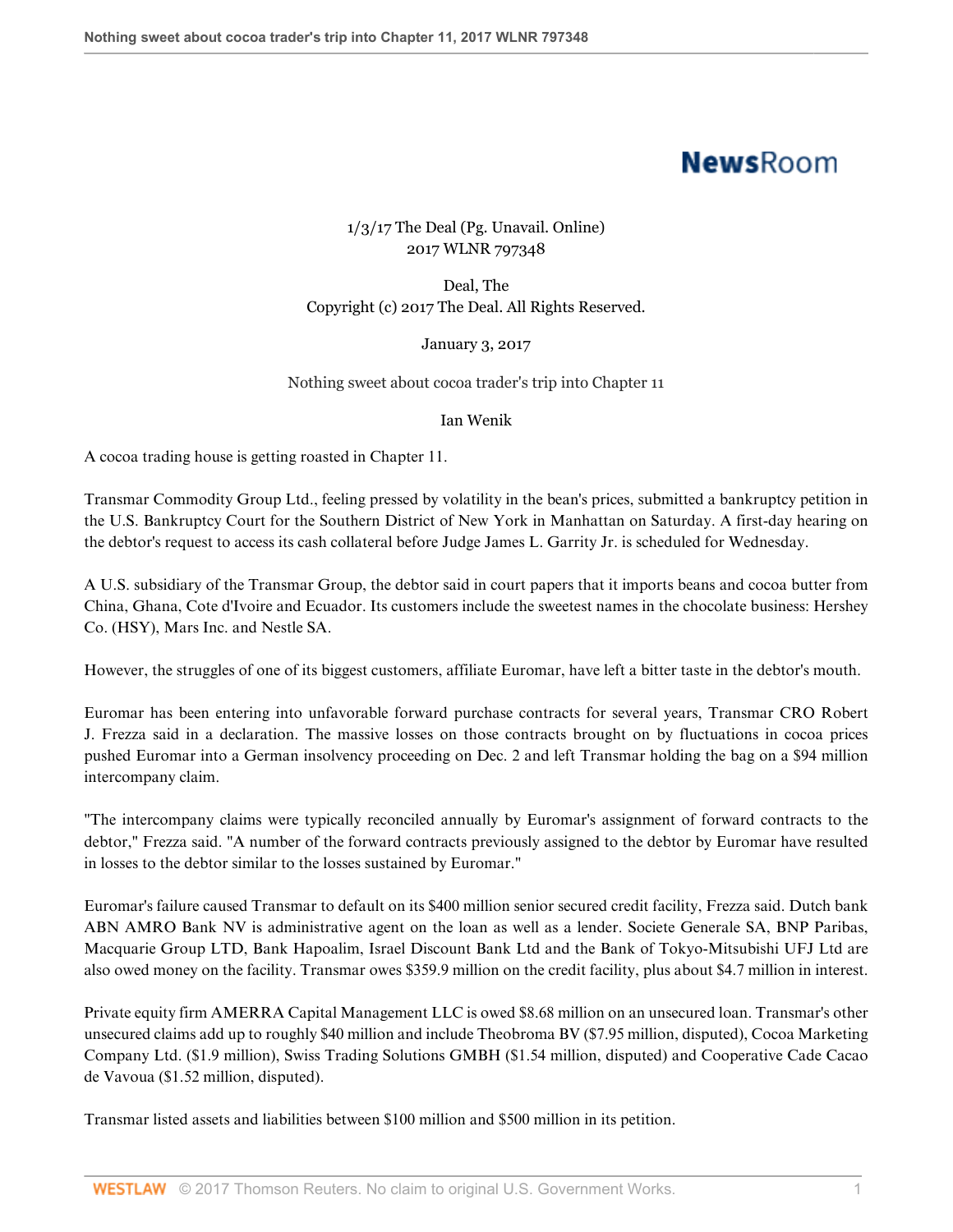# **NewsRoom**

## 1/3/17 The Deal (Pg. Unavail. Online) 2017 WLNR 797348

Deal, The Copyright (c) 2017 The Deal. All Rights Reserved.

### January 3, 2017

### Nothing sweet about cocoa trader's trip into Chapter 11

#### Ian Wenik

A cocoa trading house is getting roasted in Chapter 11.

Transmar Commodity Group Ltd., feeling pressed by volatility in the bean's prices, submitted a bankruptcy petition in the U.S. Bankruptcy Court for the Southern District of New York in Manhattan on Saturday. A first-day hearing on the debtor's request to access its cash collateral before Judge James L. Garrity Jr. is scheduled for Wednesday.

A U.S. subsidiary of the Transmar Group, the debtor said in court papers that it imports beans and cocoa butter from China, Ghana, Cote d'Ivoire and Ecuador. Its customers include the sweetest names in the chocolate business: Hershey Co. (HSY), Mars Inc. and Nestle SA.

However, the struggles of one of its biggest customers, affiliate Euromar, have left a bitter taste in the debtor's mouth.

Euromar has been entering into unfavorable forward purchase contracts for several years, Transmar CRO Robert J. Frezza said in a declaration. The massive losses on those contracts brought on by fluctuations in cocoa prices pushed Euromar into a German insolvency proceeding on Dec. 2 and left Transmar holding the bag on a \$94 million intercompany claim.

"The intercompany claims were typically reconciled annually by Euromar's assignment of forward contracts to the debtor," Frezza said. "A number of the forward contracts previously assigned to the debtor by Euromar have resulted in losses to the debtor similar to the losses sustained by Euromar."

Euromar's failure caused Transmar to default on its \$400 million senior secured credit facility, Frezza said. Dutch bank ABN AMRO Bank NV is administrative agent on the loan as well as a lender. Societe Generale SA, BNP Paribas, Macquarie Group LTD, Bank Hapoalim, Israel Discount Bank Ltd and the Bank of Tokyo-Mitsubishi UFJ Ltd are also owed money on the facility. Transmar owes \$359.9 million on the credit facility, plus about \$4.7 million in interest.

Private equity firm AMERRA Capital Management LLC is owed \$8.68 million on an unsecured loan. Transmar's other unsecured claims add up to roughly \$40 million and include Theobroma BV (\$7.95 million, disputed), Cocoa Marketing Company Ltd. (\$1.9 million), Swiss Trading Solutions GMBH (\$1.54 million, disputed) and Cooperative Cade Cacao de Vavoua (\$1.52 million, disputed).

Transmar listed assets and liabilities between \$100 million and \$500 million in its petition.